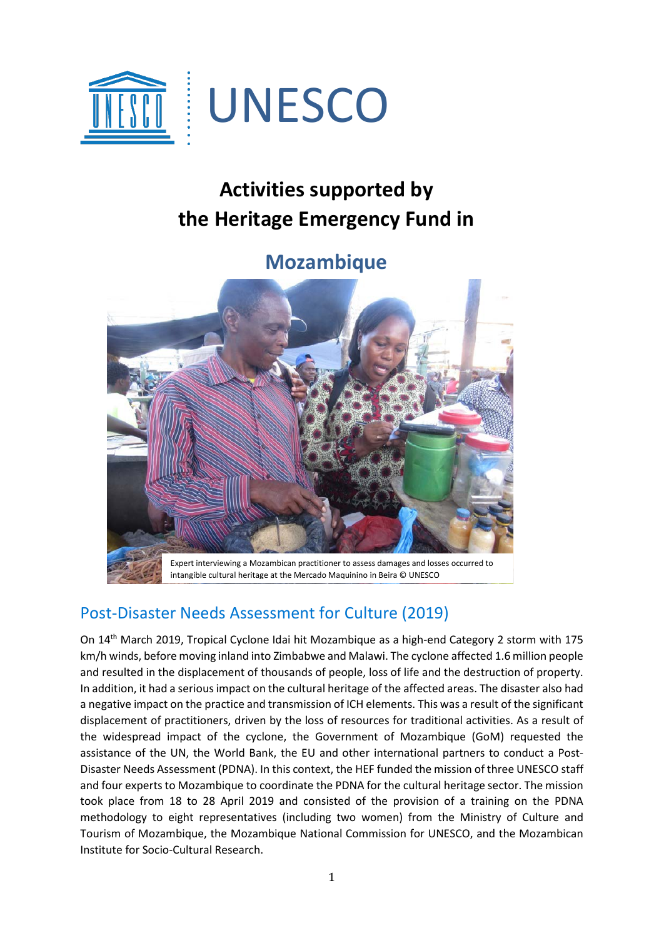

## **Activities supported by the Heritage Emergency Fund in**

## **Mozambique**



## Post-Disaster Needs Assessment for Culture (2019)

On 14th March 2019, Tropical Cyclone Idai hit Mozambique as a high-end Category 2 storm with 175 km/h winds, before moving inland into Zimbabwe and Malawi. The cyclone affected 1.6 million people and resulted in the displacement of thousands of people, loss of life and the destruction of property. In addition, it had a serious impact on the cultural heritage of the affected areas. The disaster also had a negative impact on the practice and transmission of ICH elements. This was a result of the significant displacement of practitioners, driven by the loss of resources for traditional activities. As a result of the widespread impact of the cyclone, the Government of Mozambique (GoM) requested the assistance of the UN, the World Bank, the EU and other international partners to conduct a Post-Disaster Needs Assessment (PDNA). In this context, the HEF funded the mission of three UNESCO staff and four experts to Mozambique to coordinate the PDNA for the cultural heritage sector. The mission took place from 18 to 28 April 2019 and consisted of the provision of a training on the PDNA methodology to eight representatives (including two women) from the Ministry of Culture and Tourism of Mozambique, the Mozambique National Commission for UNESCO, and the Mozambican Institute for Socio-Cultural Research.